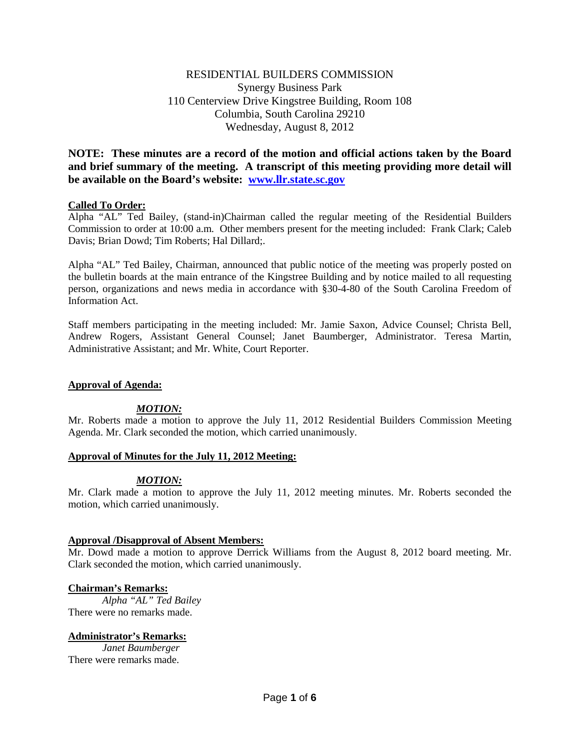# RESIDENTIAL BUILDERS COMMISSION Synergy Business Park 110 Centerview Drive Kingstree Building, Room 108 Columbia, South Carolina 29210 Wednesday, August 8, 2012

**NOTE: These minutes are a record of the motion and official actions taken by the Board and brief summary of the meeting. A transcript of this meeting providing more detail will be available on the Board's website: [www.llr.state.sc.gov](http://www.llr.state.sc.gov/)**

## **Called To Order:**

Alpha "AL" Ted Bailey, (stand-in)Chairman called the regular meeting of the Residential Builders Commission to order at 10:00 a.m. Other members present for the meeting included: Frank Clark; Caleb Davis; Brian Dowd; Tim Roberts; Hal Dillard;.

Alpha "AL" Ted Bailey, Chairman, announced that public notice of the meeting was properly posted on the bulletin boards at the main entrance of the Kingstree Building and by notice mailed to all requesting person, organizations and news media in accordance with §30-4-80 of the South Carolina Freedom of Information Act.

Staff members participating in the meeting included: Mr. Jamie Saxon, Advice Counsel; Christa Bell, Andrew Rogers, Assistant General Counsel; Janet Baumberger, Administrator. Teresa Martin, Administrative Assistant; and Mr. White, Court Reporter.

## **Approval of Agenda:**

# *MOTION:*

Mr. Roberts made a motion to approve the July 11, 2012 Residential Builders Commission Meeting Agenda. Mr. Clark seconded the motion, which carried unanimously.

## **Approval of Minutes for the July 11, 2012 Meeting:**

# *MOTION:*

Mr. Clark made a motion to approve the July 11, 2012 meeting minutes. Mr. Roberts seconded the motion, which carried unanimously.

## **Approval /Disapproval of Absent Members:**

Mr. Dowd made a motion to approve Derrick Williams from the August 8, 2012 board meeting. Mr. Clark seconded the motion, which carried unanimously.

## **Chairman's Remarks:**

*Alpha "AL" Ted Bailey* There were no remarks made.

# **Administrator's Remarks:**

*Janet Baumberger* There were remarks made.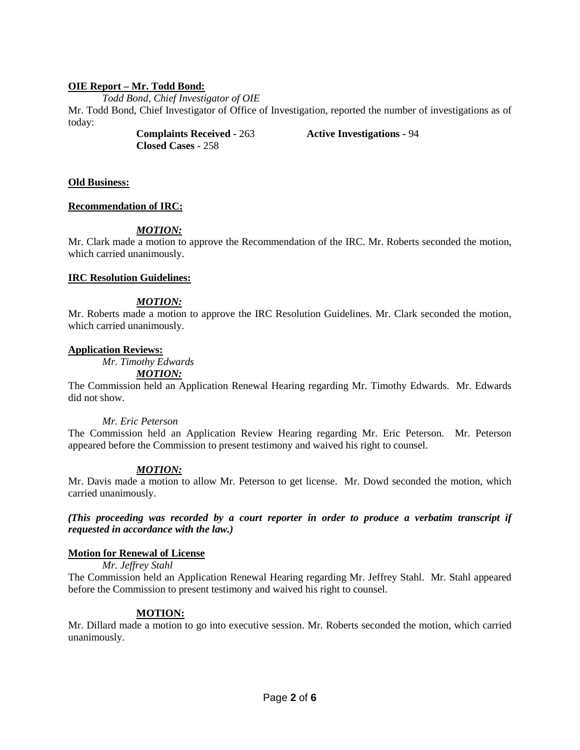# **OIE Report – Mr. Todd Bond:**

*Todd Bond, Chief Investigator of OIE*

Mr. Todd Bond, Chief Investigator of Office of Investigation, reported the number of investigations as of today:

> **Complaints Received -** 263 **Active Investigations -** 94 **Closed Cases -** 258

# **Old Business:**

# **Recommendation of IRC:**

# *MOTION:*

Mr. Clark made a motion to approve the Recommendation of the IRC. Mr. Roberts seconded the motion, which carried unanimously.

## **IRC Resolution Guidelines:**

# *MOTION:*

Mr. Roberts made a motion to approve the IRC Resolution Guidelines. Mr. Clark seconded the motion, which carried unanimously.

## **Application Reviews:**

*Mr. Timothy Edwards*

### *MOTION:*

The Commission held an Application Renewal Hearing regarding Mr. Timothy Edwards. Mr. Edwards did not show.

# *Mr. Eric Peterson*

The Commission held an Application Review Hearing regarding Mr. Eric Peterson. Mr. Peterson appeared before the Commission to present testimony and waived his right to counsel.

## *MOTION:*

Mr. Davis made a motion to allow Mr. Peterson to get license. Mr. Dowd seconded the motion, which carried unanimously.

*(This proceeding was recorded by a court reporter in order to produce a verbatim transcript if requested in accordance with the law.)*

## **Motion for Renewal of License**

## *Mr. Jeffrey Stahl*

The Commission held an Application Renewal Hearing regarding Mr. Jeffrey Stahl. Mr. Stahl appeared before the Commission to present testimony and waived his right to counsel.

## **MOTION:**

Mr. Dillard made a motion to go into executive session. Mr. Roberts seconded the motion, which carried unanimously.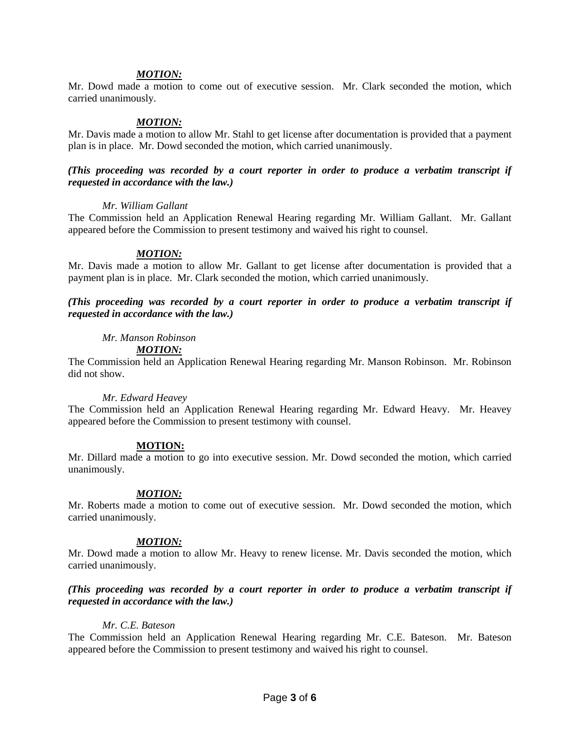Mr. Dowd made a motion to come out of executive session. Mr. Clark seconded the motion, which carried unanimously.

## *MOTION:*

Mr. Davis made a motion to allow Mr. Stahl to get license after documentation is provided that a payment plan is in place. Mr. Dowd seconded the motion, which carried unanimously.

## *(This proceeding was recorded by a court reporter in order to produce a verbatim transcript if requested in accordance with the law.)*

### *Mr. William Gallant*

The Commission held an Application Renewal Hearing regarding Mr. William Gallant. Mr. Gallant appeared before the Commission to present testimony and waived his right to counsel.

## *MOTION:*

Mr. Davis made a motion to allow Mr. Gallant to get license after documentation is provided that a payment plan is in place. Mr. Clark seconded the motion, which carried unanimously.

*(This proceeding was recorded by a court reporter in order to produce a verbatim transcript if requested in accordance with the law.)*

## *Mr. Manson Robinson*

*MOTION:*

The Commission held an Application Renewal Hearing regarding Mr. Manson Robinson. Mr. Robinson did not show.

#### *Mr. Edward Heavey*

The Commission held an Application Renewal Hearing regarding Mr. Edward Heavy. Mr. Heavey appeared before the Commission to present testimony with counsel.

## **MOTION:**

Mr. Dillard made a motion to go into executive session. Mr. Dowd seconded the motion, which carried unanimously.

## *MOTION:*

Mr. Roberts made a motion to come out of executive session. Mr. Dowd seconded the motion, which carried unanimously.

## *MOTION:*

Mr. Dowd made a motion to allow Mr. Heavy to renew license. Mr. Davis seconded the motion, which carried unanimously.

# *(This proceeding was recorded by a court reporter in order to produce a verbatim transcript if requested in accordance with the law.)*

# *Mr. C.E. Bateson*

The Commission held an Application Renewal Hearing regarding Mr. C.E. Bateson. Mr. Bateson appeared before the Commission to present testimony and waived his right to counsel.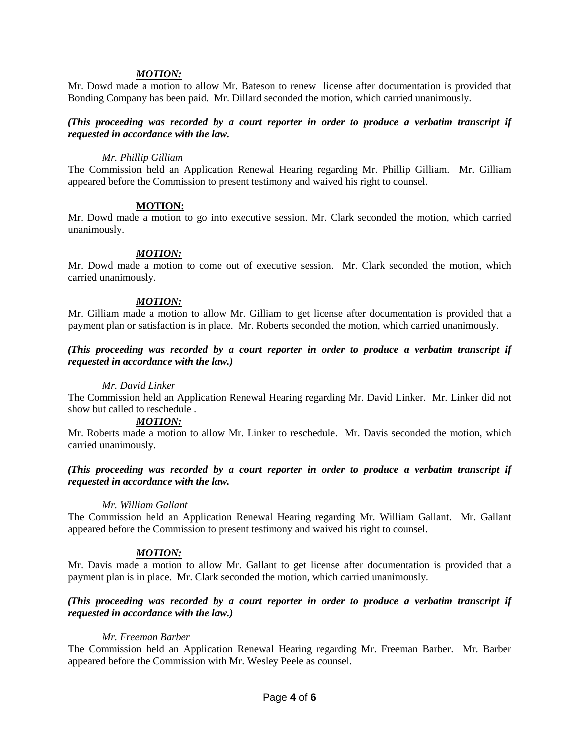Mr. Dowd made a motion to allow Mr. Bateson to renew license after documentation is provided that Bonding Company has been paid. Mr. Dillard seconded the motion, which carried unanimously.

## *(This proceeding was recorded by a court reporter in order to produce a verbatim transcript if requested in accordance with the law.*

#### *Mr. Phillip Gilliam*

The Commission held an Application Renewal Hearing regarding Mr. Phillip Gilliam. Mr. Gilliam appeared before the Commission to present testimony and waived his right to counsel.

### **MOTION:**

Mr. Dowd made a motion to go into executive session. Mr. Clark seconded the motion, which carried unanimously.

### *MOTION:*

Mr. Dowd made a motion to come out of executive session. Mr. Clark seconded the motion, which carried unanimously.

## *MOTION:*

Mr. Gilliam made a motion to allow Mr. Gilliam to get license after documentation is provided that a payment plan or satisfaction is in place. Mr. Roberts seconded the motion, which carried unanimously.

# *(This proceeding was recorded by a court reporter in order to produce a verbatim transcript if requested in accordance with the law.)*

## *Mr. David Linker*

The Commission held an Application Renewal Hearing regarding Mr. David Linker. Mr. Linker did not show but called to reschedule .

#### *MOTION:*

Mr. Roberts made a motion to allow Mr. Linker to reschedule. Mr. Davis seconded the motion, which carried unanimously.

## *(This proceeding was recorded by a court reporter in order to produce a verbatim transcript if requested in accordance with the law.*

#### *Mr. William Gallant*

The Commission held an Application Renewal Hearing regarding Mr. William Gallant. Mr. Gallant appeared before the Commission to present testimony and waived his right to counsel.

## *MOTION:*

Mr. Davis made a motion to allow Mr. Gallant to get license after documentation is provided that a payment plan is in place. Mr. Clark seconded the motion, which carried unanimously.

## *(This proceeding was recorded by a court reporter in order to produce a verbatim transcript if requested in accordance with the law.)*

## *Mr. Freeman Barber*

The Commission held an Application Renewal Hearing regarding Mr. Freeman Barber. Mr. Barber appeared before the Commission with Mr. Wesley Peele as counsel.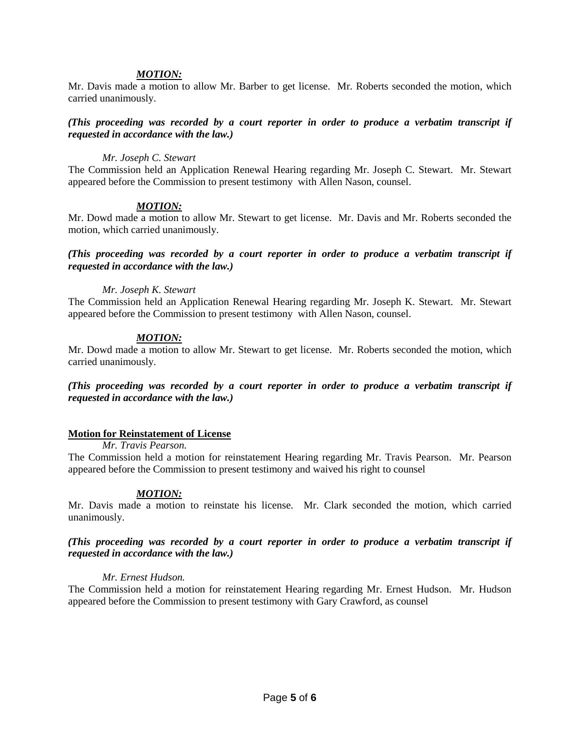Mr. Davis made a motion to allow Mr. Barber to get license. Mr. Roberts seconded the motion, which carried unanimously.

### *(This proceeding was recorded by a court reporter in order to produce a verbatim transcript if requested in accordance with the law.)*

#### *Mr. Joseph C. Stewart*

The Commission held an Application Renewal Hearing regarding Mr. Joseph C. Stewart. Mr. Stewart appeared before the Commission to present testimony with Allen Nason, counsel.

## *MOTION:*

Mr. Dowd made a motion to allow Mr. Stewart to get license. Mr. Davis and Mr. Roberts seconded the motion, which carried unanimously.

### *(This proceeding was recorded by a court reporter in order to produce a verbatim transcript if requested in accordance with the law.)*

### *Mr. Joseph K. Stewart*

The Commission held an Application Renewal Hearing regarding Mr. Joseph K. Stewart. Mr. Stewart appeared before the Commission to present testimony with Allen Nason, counsel.

## *MOTION:*

Mr. Dowd made a motion to allow Mr. Stewart to get license. Mr. Roberts seconded the motion, which carried unanimously.

*(This proceeding was recorded by a court reporter in order to produce a verbatim transcript if requested in accordance with the law.)*

#### **Motion for Reinstatement of License**

*Mr. Travis Pearson.*

The Commission held a motion for reinstatement Hearing regarding Mr. Travis Pearson. Mr. Pearson appeared before the Commission to present testimony and waived his right to counsel

#### *MOTION:*

Mr. Davis made a motion to reinstate his license. Mr. Clark seconded the motion, which carried unanimously.

## *(This proceeding was recorded by a court reporter in order to produce a verbatim transcript if requested in accordance with the law.)*

#### *Mr. Ernest Hudson.*

The Commission held a motion for reinstatement Hearing regarding Mr. Ernest Hudson. Mr. Hudson appeared before the Commission to present testimony with Gary Crawford, as counsel